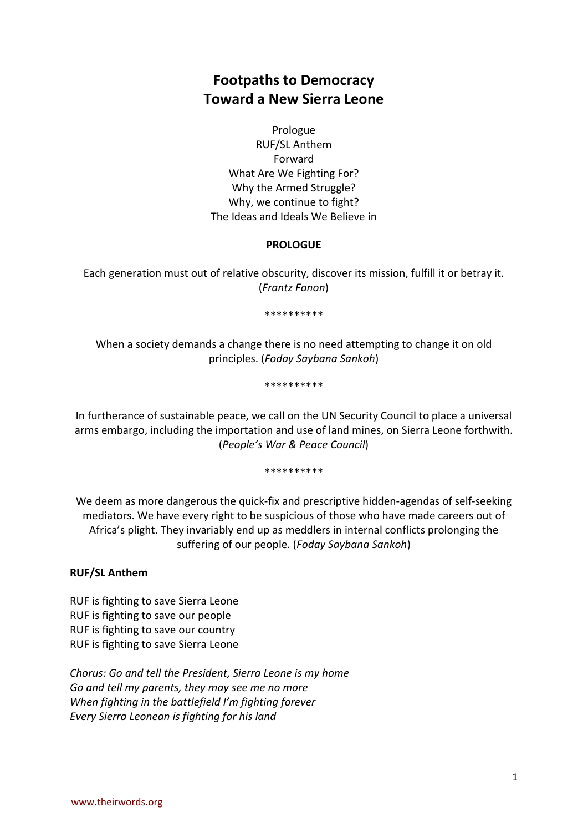# **Footpaths to Democracy Toward a New Sierra Leone**

Prologue RUF/SL Anthem Forward What Are We Fighting For? Why the Armed Struggle? Why, we continue to fight? The Ideas and Ideals We Believe in

#### **PROLOGUE**

Each generation must out of relative obscurity, discover its mission, fulfill it or betray it. (*Frantz Fanon*)

\*\*\*\*\*\*\*\*\*\*

When a society demands a change there is no need attempting to change it on old principles. (*Foday Saybana Sankoh*)

\*\*\*\*\*\*\*\*\*\*

In furtherance of sustainable peace, we call on the UN Security Council to place a universal arms embargo, including the importation and use of land mines, on Sierra Leone forthwith. (*People's War & Peace Council*)

\*\*\*\*\*\*\*\*\*\*

We deem as more dangerous the quick-fix and prescriptive hidden-agendas of self-seeking mediators. We have every right to be suspicious of those who have made careers out of Africa's plight. They invariably end up as meddlers in internal conflicts prolonging the suffering of our people. (*Foday Saybana Sankoh*)

### **RUF/SL Anthem**

RUF is fighting to save Sierra Leone RUF is fighting to save our people RUF is fighting to save our country RUF is fighting to save Sierra Leone

*Chorus: Go and tell the President, Sierra Leone is my home Go and tell my parents, they may see me no more When fighting in the battlefield I'm fighting forever Every Sierra Leonean is fighting for his land*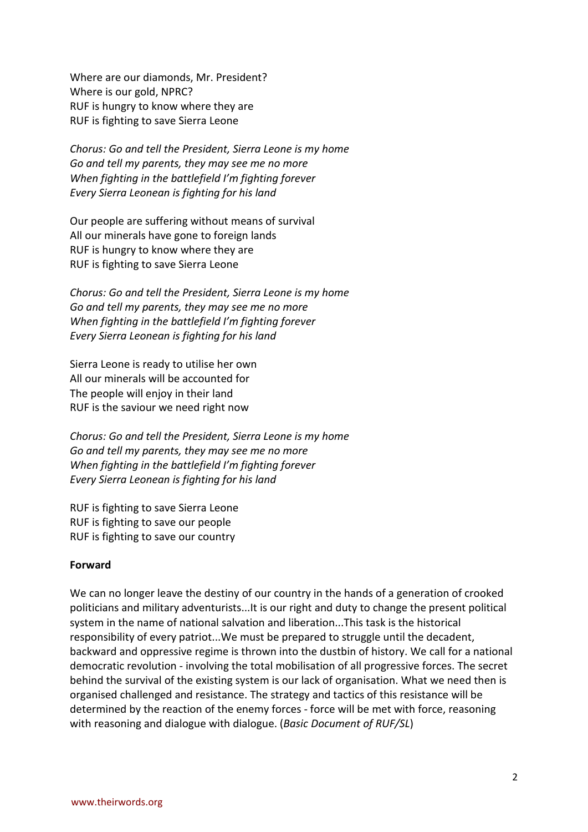Where are our diamonds, Mr. President? Where is our gold, NPRC? RUF is hungry to know where they are RUF is fighting to save Sierra Leone

*Chorus: Go and tell the President, Sierra Leone is my home Go and tell my parents, they may see me no more When fighting in the battlefield I'm fighting forever Every Sierra Leonean is fighting for his land*

Our people are suffering without means of survival All our minerals have gone to foreign lands RUF is hungry to know where they are RUF is fighting to save Sierra Leone

*Chorus: Go and tell the President, Sierra Leone is my home Go and tell my parents, they may see me no more When fighting in the battlefield I'm fighting forever Every Sierra Leonean is fighting for his land*

Sierra Leone is ready to utilise her own All our minerals will be accounted for The people will enjoy in their land RUF is the saviour we need right now

*Chorus: Go and tell the President, Sierra Leone is my home Go and tell my parents, they may see me no more When fighting in the battlefield I'm fighting forever Every Sierra Leonean is fighting for his land*

RUF is fighting to save Sierra Leone RUF is fighting to save our people RUF is fighting to save our country

#### **Forward**

We can no longer leave the destiny of our country in the hands of a generation of crooked politicians and military adventurists...It is our right and duty to change the present political system in the name of national salvation and liberation...This task is the historical responsibility of every patriot...We must be prepared to struggle until the decadent, backward and oppressive regime is thrown into the dustbin of history. We call for a national democratic revolution - involving the total mobilisation of all progressive forces. The secret behind the survival of the existing system is our lack of organisation. What we need then is organised challenged and resistance. The strategy and tactics of this resistance will be determined by the reaction of the enemy forces - force will be met with force, reasoning with reasoning and dialogue with dialogue. (*Basic Document of RUF/SL*)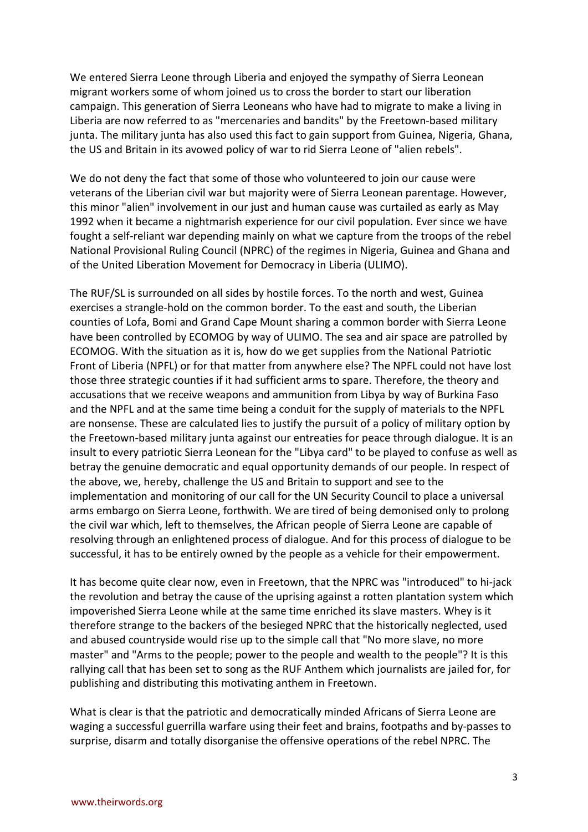We entered Sierra Leone through Liberia and enjoyed the sympathy of Sierra Leonean migrant workers some of whom joined us to cross the border to start our liberation campaign. This generation of Sierra Leoneans who have had to migrate to make a living in Liberia are now referred to as "mercenaries and bandits" by the Freetown-based military junta. The military junta has also used this fact to gain support from Guinea, Nigeria, Ghana, the US and Britain in its avowed policy of war to rid Sierra Leone of "alien rebels".

We do not deny the fact that some of those who volunteered to join our cause were veterans of the Liberian civil war but majority were of Sierra Leonean parentage. However, this minor "alien" involvement in our just and human cause was curtailed as early as May 1992 when it became a nightmarish experience for our civil population. Ever since we have fought a self-reliant war depending mainly on what we capture from the troops of the rebel National Provisional Ruling Council (NPRC) of the regimes in Nigeria, Guinea and Ghana and of the United Liberation Movement for Democracy in Liberia (ULIMO).

The RUF/SL is surrounded on all sides by hostile forces. To the north and west, Guinea exercises a strangle-hold on the common border. To the east and south, the Liberian counties of Lofa, Bomi and Grand Cape Mount sharing a common border with Sierra Leone have been controlled by ECOMOG by way of ULIMO. The sea and air space are patrolled by ECOMOG. With the situation as it is, how do we get supplies from the National Patriotic Front of Liberia (NPFL) or for that matter from anywhere else? The NPFL could not have lost those three strategic counties if it had sufficient arms to spare. Therefore, the theory and accusations that we receive weapons and ammunition from Libya by way of Burkina Faso and the NPFL and at the same time being a conduit for the supply of materials to the NPFL are nonsense. These are calculated lies to justify the pursuit of a policy of military option by the Freetown-based military junta against our entreaties for peace through dialogue. It is an insult to every patriotic Sierra Leonean for the "Libya card" to be played to confuse as well as betray the genuine democratic and equal opportunity demands of our people. In respect of the above, we, hereby, challenge the US and Britain to support and see to the implementation and monitoring of our call for the UN Security Council to place a universal arms embargo on Sierra Leone, forthwith. We are tired of being demonised only to prolong the civil war which, left to themselves, the African people of Sierra Leone are capable of resolving through an enlightened process of dialogue. And for this process of dialogue to be successful, it has to be entirely owned by the people as a vehicle for their empowerment.

It has become quite clear now, even in Freetown, that the NPRC was "introduced" to hi-jack the revolution and betray the cause of the uprising against a rotten plantation system which impoverished Sierra Leone while at the same time enriched its slave masters. Whey is it therefore strange to the backers of the besieged NPRC that the historically neglected, used and abused countryside would rise up to the simple call that "No more slave, no more master" and "Arms to the people; power to the people and wealth to the people"? It is this rallying call that has been set to song as the RUF Anthem which journalists are jailed for, for publishing and distributing this motivating anthem in Freetown.

What is clear is that the patriotic and democratically minded Africans of Sierra Leone are waging a successful guerrilla warfare using their feet and brains, footpaths and by-passes to surprise, disarm and totally disorganise the offensive operations of the rebel NPRC. The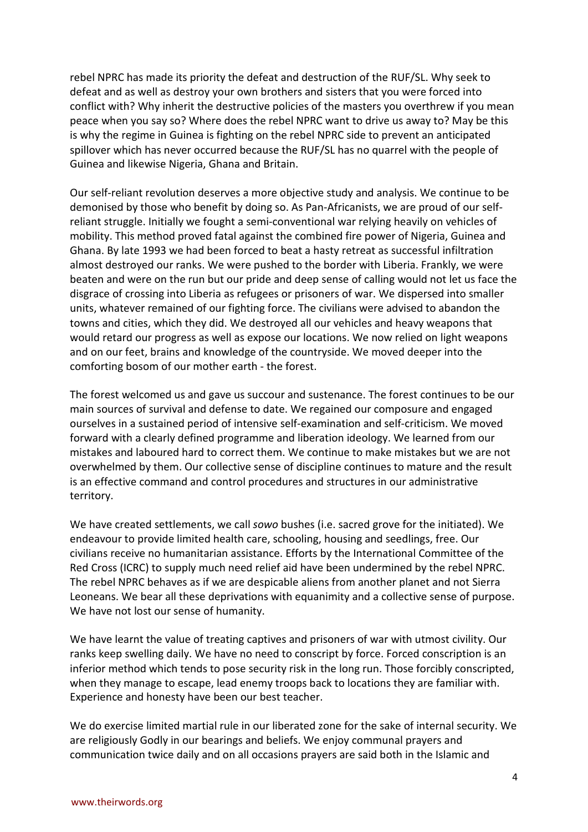rebel NPRC has made its priority the defeat and destruction of the RUF/SL. Why seek to defeat and as well as destroy your own brothers and sisters that you were forced into conflict with? Why inherit the destructive policies of the masters you overthrew if you mean peace when you say so? Where does the rebel NPRC want to drive us away to? May be this is why the regime in Guinea is fighting on the rebel NPRC side to prevent an anticipated spillover which has never occurred because the RUF/SL has no quarrel with the people of Guinea and likewise Nigeria, Ghana and Britain.

Our self-reliant revolution deserves a more objective study and analysis. We continue to be demonised by those who benefit by doing so. As Pan-Africanists, we are proud of our selfreliant struggle. Initially we fought a semi-conventional war relying heavily on vehicles of mobility. This method proved fatal against the combined fire power of Nigeria, Guinea and Ghana. By late 1993 we had been forced to beat a hasty retreat as successful infiltration almost destroyed our ranks. We were pushed to the border with Liberia. Frankly, we were beaten and were on the run but our pride and deep sense of calling would not let us face the disgrace of crossing into Liberia as refugees or prisoners of war. We dispersed into smaller units, whatever remained of our fighting force. The civilians were advised to abandon the towns and cities, which they did. We destroyed all our vehicles and heavy weapons that would retard our progress as well as expose our locations. We now relied on light weapons and on our feet, brains and knowledge of the countryside. We moved deeper into the comforting bosom of our mother earth - the forest.

The forest welcomed us and gave us succour and sustenance. The forest continues to be our main sources of survival and defense to date. We regained our composure and engaged ourselves in a sustained period of intensive self-examination and self-criticism. We moved forward with a clearly defined programme and liberation ideology. We learned from our mistakes and laboured hard to correct them. We continue to make mistakes but we are not overwhelmed by them. Our collective sense of discipline continues to mature and the result is an effective command and control procedures and structures in our administrative territory.

We have created settlements, we call *sowo* bushes (i.e. sacred grove for the initiated). We endeavour to provide limited health care, schooling, housing and seedlings, free. Our civilians receive no humanitarian assistance. Efforts by the International Committee of the Red Cross (ICRC) to supply much need relief aid have been undermined by the rebel NPRC. The rebel NPRC behaves as if we are despicable aliens from another planet and not Sierra Leoneans. We bear all these deprivations with equanimity and a collective sense of purpose. We have not lost our sense of humanity.

We have learnt the value of treating captives and prisoners of war with utmost civility. Our ranks keep swelling daily. We have no need to conscript by force. Forced conscription is an inferior method which tends to pose security risk in the long run. Those forcibly conscripted, when they manage to escape, lead enemy troops back to locations they are familiar with. Experience and honesty have been our best teacher.

We do exercise limited martial rule in our liberated zone for the sake of internal security. We are religiously Godly in our bearings and beliefs. We enjoy communal prayers and communication twice daily and on all occasions prayers are said both in the Islamic and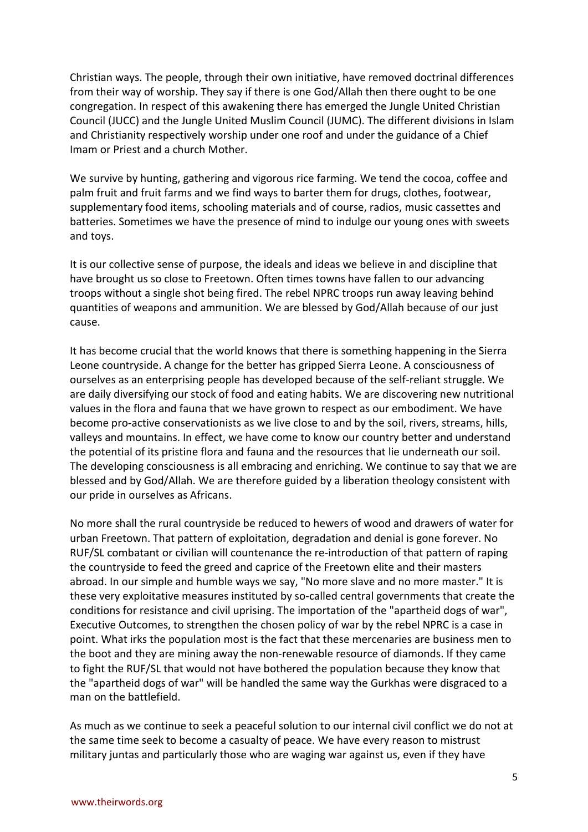Christian ways. The people, through their own initiative, have removed doctrinal differences from their way of worship. They say if there is one God/Allah then there ought to be one congregation. In respect of this awakening there has emerged the Jungle United Christian Council (JUCC) and the Jungle United Muslim Council (JUMC). The different divisions in Islam and Christianity respectively worship under one roof and under the guidance of a Chief Imam or Priest and a church Mother.

We survive by hunting, gathering and vigorous rice farming. We tend the cocoa, coffee and palm fruit and fruit farms and we find ways to barter them for drugs, clothes, footwear, supplementary food items, schooling materials and of course, radios, music cassettes and batteries. Sometimes we have the presence of mind to indulge our young ones with sweets and toys.

It is our collective sense of purpose, the ideals and ideas we believe in and discipline that have brought us so close to Freetown. Often times towns have fallen to our advancing troops without a single shot being fired. The rebel NPRC troops run away leaving behind quantities of weapons and ammunition. We are blessed by God/Allah because of our just cause.

It has become crucial that the world knows that there is something happening in the Sierra Leone countryside. A change for the better has gripped Sierra Leone. A consciousness of ourselves as an enterprising people has developed because of the self-reliant struggle. We are daily diversifying our stock of food and eating habits. We are discovering new nutritional values in the flora and fauna that we have grown to respect as our embodiment. We have become pro-active conservationists as we live close to and by the soil, rivers, streams, hills, valleys and mountains. In effect, we have come to know our country better and understand the potential of its pristine flora and fauna and the resources that lie underneath our soil. The developing consciousness is all embracing and enriching. We continue to say that we are blessed and by God/Allah. We are therefore guided by a liberation theology consistent with our pride in ourselves as Africans.

No more shall the rural countryside be reduced to hewers of wood and drawers of water for urban Freetown. That pattern of exploitation, degradation and denial is gone forever. No RUF/SL combatant or civilian will countenance the re-introduction of that pattern of raping the countryside to feed the greed and caprice of the Freetown elite and their masters abroad. In our simple and humble ways we say, "No more slave and no more master." It is these very exploitative measures instituted by so-called central governments that create the conditions for resistance and civil uprising. The importation of the "apartheid dogs of war", Executive Outcomes, to strengthen the chosen policy of war by the rebel NPRC is a case in point. What irks the population most is the fact that these mercenaries are business men to the boot and they are mining away the non-renewable resource of diamonds. If they came to fight the RUF/SL that would not have bothered the population because they know that the "apartheid dogs of war" will be handled the same way the Gurkhas were disgraced to a man on the battlefield.

As much as we continue to seek a peaceful solution to our internal civil conflict we do not at the same time seek to become a casualty of peace. We have every reason to mistrust military juntas and particularly those who are waging war against us, even if they have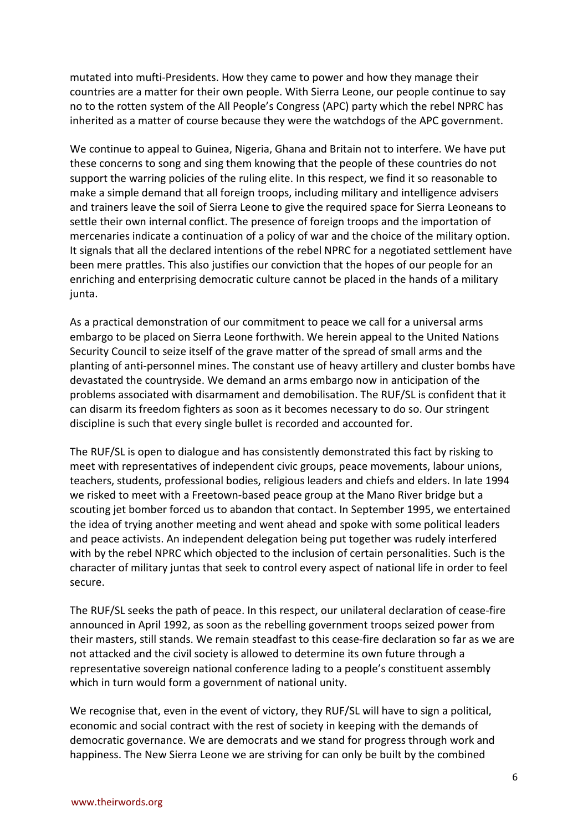mutated into mufti-Presidents. How they came to power and how they manage their countries are a matter for their own people. With Sierra Leone, our people continue to say no to the rotten system of the All People's Congress (APC) party which the rebel NPRC has inherited as a matter of course because they were the watchdogs of the APC government.

We continue to appeal to Guinea, Nigeria, Ghana and Britain not to interfere. We have put these concerns to song and sing them knowing that the people of these countries do not support the warring policies of the ruling elite. In this respect, we find it so reasonable to make a simple demand that all foreign troops, including military and intelligence advisers and trainers leave the soil of Sierra Leone to give the required space for Sierra Leoneans to settle their own internal conflict. The presence of foreign troops and the importation of mercenaries indicate a continuation of a policy of war and the choice of the military option. It signals that all the declared intentions of the rebel NPRC for a negotiated settlement have been mere prattles. This also justifies our conviction that the hopes of our people for an enriching and enterprising democratic culture cannot be placed in the hands of a military junta.

As a practical demonstration of our commitment to peace we call for a universal arms embargo to be placed on Sierra Leone forthwith. We herein appeal to the United Nations Security Council to seize itself of the grave matter of the spread of small arms and the planting of anti-personnel mines. The constant use of heavy artillery and cluster bombs have devastated the countryside. We demand an arms embargo now in anticipation of the problems associated with disarmament and demobilisation. The RUF/SL is confident that it can disarm its freedom fighters as soon as it becomes necessary to do so. Our stringent discipline is such that every single bullet is recorded and accounted for.

The RUF/SL is open to dialogue and has consistently demonstrated this fact by risking to meet with representatives of independent civic groups, peace movements, labour unions, teachers, students, professional bodies, religious leaders and chiefs and elders. In late 1994 we risked to meet with a Freetown-based peace group at the Mano River bridge but a scouting jet bomber forced us to abandon that contact. In September 1995, we entertained the idea of trying another meeting and went ahead and spoke with some political leaders and peace activists. An independent delegation being put together was rudely interfered with by the rebel NPRC which objected to the inclusion of certain personalities. Such is the character of military juntas that seek to control every aspect of national life in order to feel secure.

The RUF/SL seeks the path of peace. In this respect, our unilateral declaration of cease-fire announced in April 1992, as soon as the rebelling government troops seized power from their masters, still stands. We remain steadfast to this cease-fire declaration so far as we are not attacked and the civil society is allowed to determine its own future through a representative sovereign national conference lading to a people's constituent assembly which in turn would form a government of national unity.

We recognise that, even in the event of victory, they RUF/SL will have to sign a political, economic and social contract with the rest of society in keeping with the demands of democratic governance. We are democrats and we stand for progress through work and happiness. The New Sierra Leone we are striving for can only be built by the combined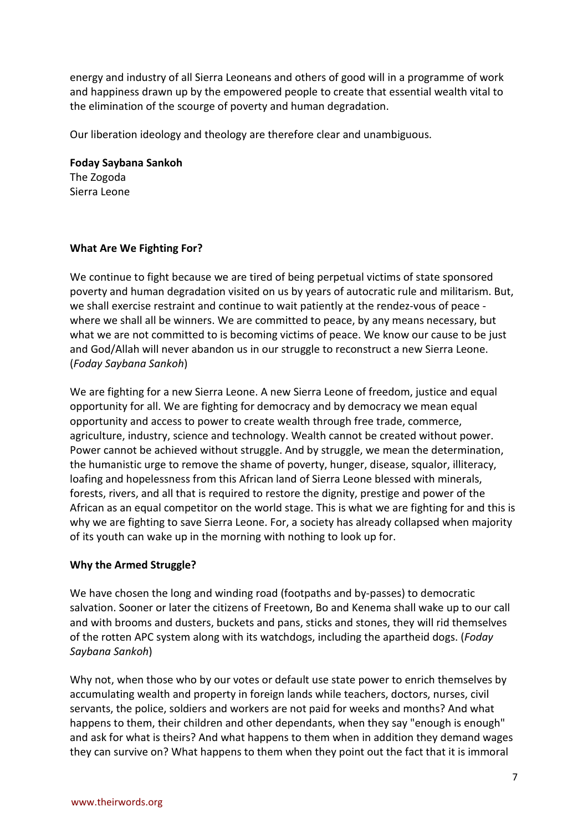energy and industry of all Sierra Leoneans and others of good will in a programme of work and happiness drawn up by the empowered people to create that essential wealth vital to the elimination of the scourge of poverty and human degradation.

Our liberation ideology and theology are therefore clear and unambiguous.

**Foday Saybana Sankoh** The Zogoda Sierra Leone

### **What Are We Fighting For?**

We continue to fight because we are tired of being perpetual victims of state sponsored poverty and human degradation visited on us by years of autocratic rule and militarism. But, we shall exercise restraint and continue to wait patiently at the rendez-vous of peace where we shall all be winners. We are committed to peace, by any means necessary, but what we are not committed to is becoming victims of peace. We know our cause to be just and God/Allah will never abandon us in our struggle to reconstruct a new Sierra Leone. (*Foday Saybana Sankoh*)

We are fighting for a new Sierra Leone. A new Sierra Leone of freedom, justice and equal opportunity for all. We are fighting for democracy and by democracy we mean equal opportunity and access to power to create wealth through free trade, commerce, agriculture, industry, science and technology. Wealth cannot be created without power. Power cannot be achieved without struggle. And by struggle, we mean the determination, the humanistic urge to remove the shame of poverty, hunger, disease, squalor, illiteracy, loafing and hopelessness from this African land of Sierra Leone blessed with minerals, forests, rivers, and all that is required to restore the dignity, prestige and power of the African as an equal competitor on the world stage. This is what we are fighting for and this is why we are fighting to save Sierra Leone. For, a society has already collapsed when majority of its youth can wake up in the morning with nothing to look up for.

## **Why the Armed Struggle?**

We have chosen the long and winding road (footpaths and by-passes) to democratic salvation. Sooner or later the citizens of Freetown, Bo and Kenema shall wake up to our call and with brooms and dusters, buckets and pans, sticks and stones, they will rid themselves of the rotten APC system along with its watchdogs, including the apartheid dogs. (*Foday Saybana Sankoh*)

Why not, when those who by our votes or default use state power to enrich themselves by accumulating wealth and property in foreign lands while teachers, doctors, nurses, civil servants, the police, soldiers and workers are not paid for weeks and months? And what happens to them, their children and other dependants, when they say "enough is enough" and ask for what is theirs? And what happens to them when in addition they demand wages they can survive on? What happens to them when they point out the fact that it is immoral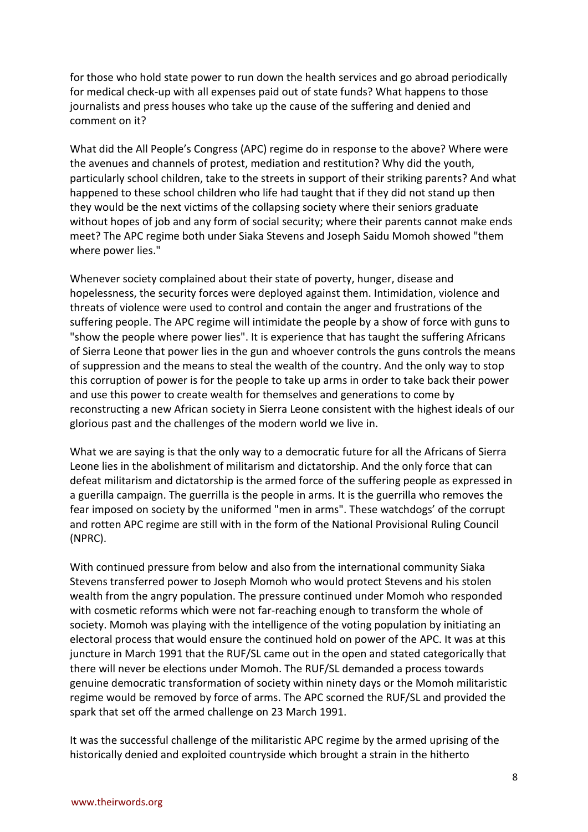for those who hold state power to run down the health services and go abroad periodically for medical check-up with all expenses paid out of state funds? What happens to those journalists and press houses who take up the cause of the suffering and denied and comment on it?

What did the All People's Congress (APC) regime do in response to the above? Where were the avenues and channels of protest, mediation and restitution? Why did the youth, particularly school children, take to the streets in support of their striking parents? And what happened to these school children who life had taught that if they did not stand up then they would be the next victims of the collapsing society where their seniors graduate without hopes of job and any form of social security; where their parents cannot make ends meet? The APC regime both under Siaka Stevens and Joseph Saidu Momoh showed "them where power lies."

Whenever society complained about their state of poverty, hunger, disease and hopelessness, the security forces were deployed against them. Intimidation, violence and threats of violence were used to control and contain the anger and frustrations of the suffering people. The APC regime will intimidate the people by a show of force with guns to "show the people where power lies". It is experience that has taught the suffering Africans of Sierra Leone that power lies in the gun and whoever controls the guns controls the means of suppression and the means to steal the wealth of the country. And the only way to stop this corruption of power is for the people to take up arms in order to take back their power and use this power to create wealth for themselves and generations to come by reconstructing a new African society in Sierra Leone consistent with the highest ideals of our glorious past and the challenges of the modern world we live in.

What we are saying is that the only way to a democratic future for all the Africans of Sierra Leone lies in the abolishment of militarism and dictatorship. And the only force that can defeat militarism and dictatorship is the armed force of the suffering people as expressed in a guerilla campaign. The guerrilla is the people in arms. It is the guerrilla who removes the fear imposed on society by the uniformed "men in arms". These watchdogs' of the corrupt and rotten APC regime are still with in the form of the National Provisional Ruling Council (NPRC).

With continued pressure from below and also from the international community Siaka Stevens transferred power to Joseph Momoh who would protect Stevens and his stolen wealth from the angry population. The pressure continued under Momoh who responded with cosmetic reforms which were not far-reaching enough to transform the whole of society. Momoh was playing with the intelligence of the voting population by initiating an electoral process that would ensure the continued hold on power of the APC. It was at this juncture in March 1991 that the RUF/SL came out in the open and stated categorically that there will never be elections under Momoh. The RUF/SL demanded a process towards genuine democratic transformation of society within ninety days or the Momoh militaristic regime would be removed by force of arms. The APC scorned the RUF/SL and provided the spark that set off the armed challenge on 23 March 1991.

It was the successful challenge of the militaristic APC regime by the armed uprising of the historically denied and exploited countryside which brought a strain in the hitherto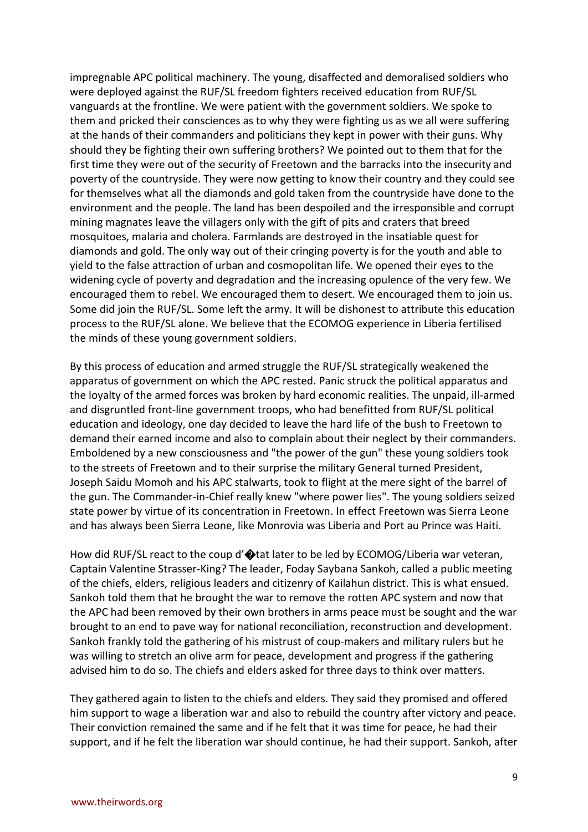impregnable APC political machinery. The young, disaffected and demoralised soldiers who were deployed against the RUF/SL freedom fighters received education from RUF/SL vanguards at the frontline. We were patient with the government soldiers. We spoke to them and pricked their consciences as to why they were fighting us as we all were suffering at the hands of their commanders and politicians they kept in power with their guns. Why should they be fighting their own suffering brothers? We pointed out to them that for the first time they were out of the security of Freetown and the barracks into the insecurity and poverty of the countryside. They were now getting to know their country and they could see for themselves what all the diamonds and gold taken from the countryside have done to the environment and the people. The land has been despoiled and the irresponsible and corrupt mining magnates leave the villagers only with the gift of pits and craters that breed mosquitoes, malaria and cholera. Farmlands are destroyed in the insatiable quest for diamonds and gold. The only way out of their cringing poverty is for the youth and able to yield to the false attraction of urban and cosmopolitan life. We opened their eyes to the widening cycle of poverty and degradation and the increasing opulence of the very few. We encouraged them to rebel. We encouraged them to desert. We encouraged them to join us. Some did join the RUF/SL. Some left the army. It will be dishonest to attribute this education process to the RUF/SL alone. We believe that the ECOMOG experience in Liberia fertilised the minds of these young government soldiers.

By this process of education and armed struggle the RUF/SL strategically weakened the apparatus of government on which the APC rested. Panic struck the political apparatus and the loyalty of the armed forces was broken by hard economic realities. The unpaid, ill-armed and disgruntled front-line government troops, who had benefitted from RUF/SL political education and ideology, one day decided to leave the hard life of the bush to Freetown to demand their earned income and also to complain about their neglect by their commanders. Emboldened by a new consciousness and "the power of the gun" these young soldiers took to the streets of Freetown and to their surprise the military General turned President, Joseph Saidu Momoh and his APC stalwarts, took to flight at the mere sight of the barrel of the gun. The Commander-in-Chief really knew "where power lies". The young soldiers seized state power by virtue of its concentration in Freetown. In effect Freetown was Sierra Leone and has always been Sierra Leone, like Monrovia was Liberia and Port au Prince was Haiti.

How did RUF/SL react to the coup d' $\bigcirc$ tat later to be led by ECOMOG/Liberia war veteran, Captain Valentine Strasser-King? The leader, Foday Saybana Sankoh, called a public meeting of the chiefs, elders, religious leaders and citizenry of Kailahun district. This is what ensued. Sankoh told them that he brought the war to remove the rotten APC system and now that the APC had been removed by their own brothers in arms peace must be sought and the war brought to an end to pave way for national reconciliation, reconstruction and development. Sankoh frankly told the gathering of his mistrust of coup-makers and military rulers but he was willing to stretch an olive arm for peace, development and progress if the gathering advised him to do so. The chiefs and elders asked for three days to think over matters.

They gathered again to listen to the chiefs and elders. They said they promised and offered him support to wage a liberation war and also to rebuild the country after victory and peace. Their conviction remained the same and if he felt that it was time for peace, he had their support, and if he felt the liberation war should continue, he had their support. Sankoh, after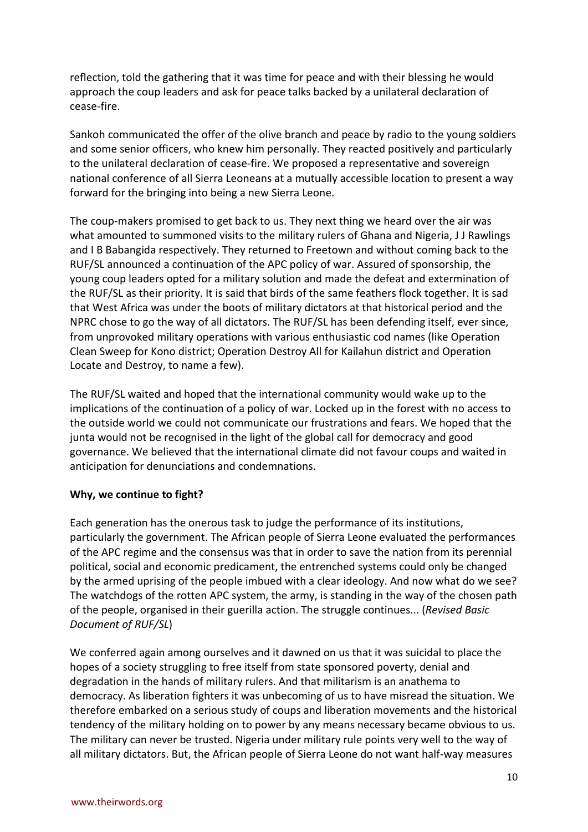reflection, told the gathering that it was time for peace and with their blessing he would approach the coup leaders and ask for peace talks backed by a unilateral declaration of cease-fire.

Sankoh communicated the offer of the olive branch and peace by radio to the young soldiers and some senior officers, who knew him personally. They reacted positively and particularly to the unilateral declaration of cease-fire. We proposed a representative and sovereign national conference of all Sierra Leoneans at a mutually accessible location to present a way forward for the bringing into being a new Sierra Leone.

The coup-makers promised to get back to us. They next thing we heard over the air was what amounted to summoned visits to the military rulers of Ghana and Nigeria, J J Rawlings and I B Babangida respectively. They returned to Freetown and without coming back to the RUF/SL announced a continuation of the APC policy of war. Assured of sponsorship, the young coup leaders opted for a military solution and made the defeat and extermination of the RUF/SL as their priority. It is said that birds of the same feathers flock together. It is sad that West Africa was under the boots of military dictators at that historical period and the NPRC chose to go the way of all dictators. The RUF/SL has been defending itself, ever since, from unprovoked military operations with various enthusiastic cod names (like Operation Clean Sweep for Kono district; Operation Destroy All for Kailahun district and Operation Locate and Destroy, to name a few).

The RUF/SL waited and hoped that the international community would wake up to the implications of the continuation of a policy of war. Locked up in the forest with no access to the outside world we could not communicate our frustrations and fears. We hoped that the junta would not be recognised in the light of the global call for democracy and good governance. We believed that the international climate did not favour coups and waited in anticipation for denunciations and condemnations.

### **Why, we continue to fight?**

Each generation has the onerous task to judge the performance of its institutions, particularly the government. The African people of Sierra Leone evaluated the performances of the APC regime and the consensus was that in order to save the nation from its perennial political, social and economic predicament, the entrenched systems could only be changed by the armed uprising of the people imbued with a clear ideology. And now what do we see? The watchdogs of the rotten APC system, the army, is standing in the way of the chosen path of the people, organised in their guerilla action. The struggle continues... (*Revised Basic Document of RUF/SL*)

We conferred again among ourselves and it dawned on us that it was suicidal to place the hopes of a society struggling to free itself from state sponsored poverty, denial and degradation in the hands of military rulers. And that militarism is an anathema to democracy. As liberation fighters it was unbecoming of us to have misread the situation. We therefore embarked on a serious study of coups and liberation movements and the historical tendency of the military holding on to power by any means necessary became obvious to us. The military can never be trusted. Nigeria under military rule points very well to the way of all military dictators. But, the African people of Sierra Leone do not want half-way measures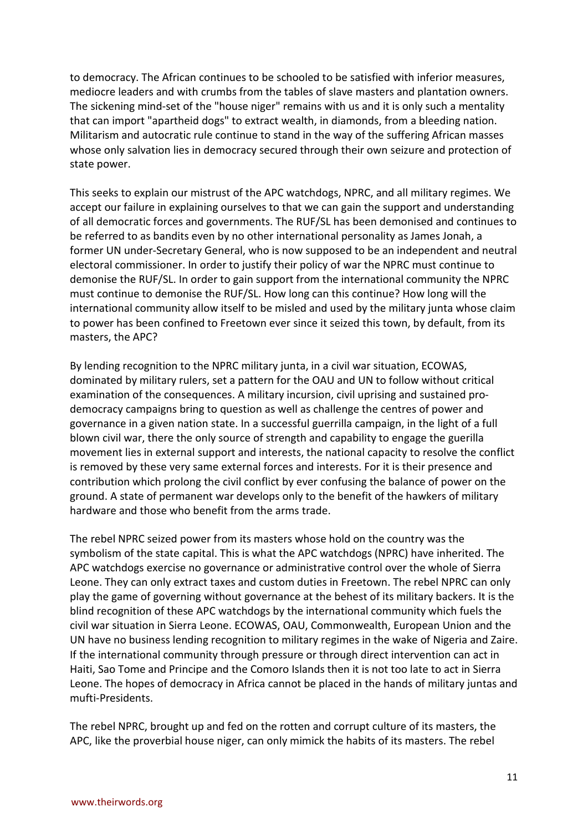to democracy. The African continues to be schooled to be satisfied with inferior measures, mediocre leaders and with crumbs from the tables of slave masters and plantation owners. The sickening mind-set of the "house niger" remains with us and it is only such a mentality that can import "apartheid dogs" to extract wealth, in diamonds, from a bleeding nation. Militarism and autocratic rule continue to stand in the way of the suffering African masses whose only salvation lies in democracy secured through their own seizure and protection of state power.

This seeks to explain our mistrust of the APC watchdogs, NPRC, and all military regimes. We accept our failure in explaining ourselves to that we can gain the support and understanding of all democratic forces and governments. The RUF/SL has been demonised and continues to be referred to as bandits even by no other international personality as James Jonah, a former UN under-Secretary General, who is now supposed to be an independent and neutral electoral commissioner. In order to justify their policy of war the NPRC must continue to demonise the RUF/SL. In order to gain support from the international community the NPRC must continue to demonise the RUF/SL. How long can this continue? How long will the international community allow itself to be misled and used by the military junta whose claim to power has been confined to Freetown ever since it seized this town, by default, from its masters, the APC?

By lending recognition to the NPRC military junta, in a civil war situation, ECOWAS, dominated by military rulers, set a pattern for the OAU and UN to follow without critical examination of the consequences. A military incursion, civil uprising and sustained prodemocracy campaigns bring to question as well as challenge the centres of power and governance in a given nation state. In a successful guerrilla campaign, in the light of a full blown civil war, there the only source of strength and capability to engage the guerilla movement lies in external support and interests, the national capacity to resolve the conflict is removed by these very same external forces and interests. For it is their presence and contribution which prolong the civil conflict by ever confusing the balance of power on the ground. A state of permanent war develops only to the benefit of the hawkers of military hardware and those who benefit from the arms trade.

The rebel NPRC seized power from its masters whose hold on the country was the symbolism of the state capital. This is what the APC watchdogs (NPRC) have inherited. The APC watchdogs exercise no governance or administrative control over the whole of Sierra Leone. They can only extract taxes and custom duties in Freetown. The rebel NPRC can only play the game of governing without governance at the behest of its military backers. It is the blind recognition of these APC watchdogs by the international community which fuels the civil war situation in Sierra Leone. ECOWAS, OAU, Commonwealth, European Union and the UN have no business lending recognition to military regimes in the wake of Nigeria and Zaire. If the international community through pressure or through direct intervention can act in Haiti, Sao Tome and Principe and the Comoro Islands then it is not too late to act in Sierra Leone. The hopes of democracy in Africa cannot be placed in the hands of military juntas and mufti-Presidents.

The rebel NPRC, brought up and fed on the rotten and corrupt culture of its masters, the APC, like the proverbial house niger, can only mimick the habits of its masters. The rebel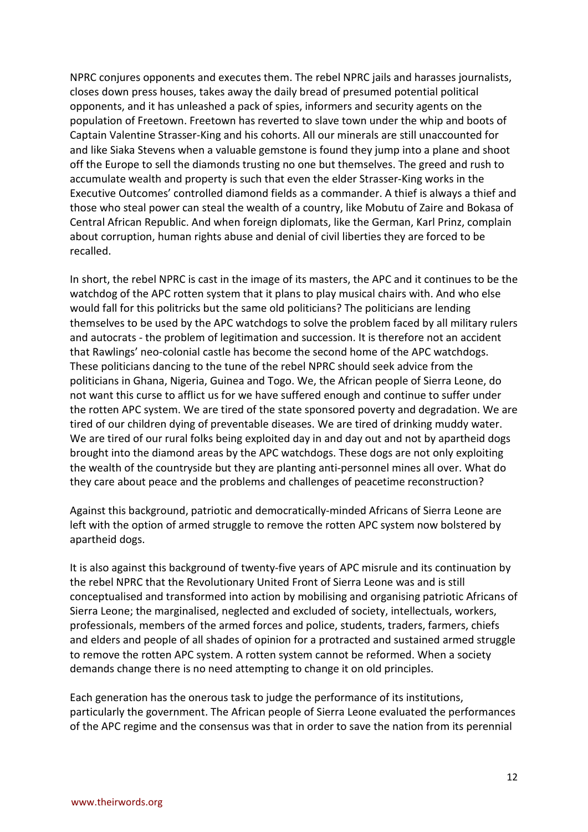NPRC conjures opponents and executes them. The rebel NPRC jails and harasses journalists, closes down press houses, takes away the daily bread of presumed potential political opponents, and it has unleashed a pack of spies, informers and security agents on the population of Freetown. Freetown has reverted to slave town under the whip and boots of Captain Valentine Strasser-King and his cohorts. All our minerals are still unaccounted for and like Siaka Stevens when a valuable gemstone is found they jump into a plane and shoot off the Europe to sell the diamonds trusting no one but themselves. The greed and rush to accumulate wealth and property is such that even the elder Strasser-King works in the Executive Outcomes' controlled diamond fields as a commander. A thief is always a thief and those who steal power can steal the wealth of a country, like Mobutu of Zaire and Bokasa of Central African Republic. And when foreign diplomats, like the German, Karl Prinz, complain about corruption, human rights abuse and denial of civil liberties they are forced to be recalled.

In short, the rebel NPRC is cast in the image of its masters, the APC and it continues to be the watchdog of the APC rotten system that it plans to play musical chairs with. And who else would fall for this politricks but the same old politicians? The politicians are lending themselves to be used by the APC watchdogs to solve the problem faced by all military rulers and autocrats - the problem of legitimation and succession. It is therefore not an accident that Rawlings' neo-colonial castle has become the second home of the APC watchdogs. These politicians dancing to the tune of the rebel NPRC should seek advice from the politicians in Ghana, Nigeria, Guinea and Togo. We, the African people of Sierra Leone, do not want this curse to afflict us for we have suffered enough and continue to suffer under the rotten APC system. We are tired of the state sponsored poverty and degradation. We are tired of our children dying of preventable diseases. We are tired of drinking muddy water. We are tired of our rural folks being exploited day in and day out and not by apartheid dogs brought into the diamond areas by the APC watchdogs. These dogs are not only exploiting the wealth of the countryside but they are planting anti-personnel mines all over. What do they care about peace and the problems and challenges of peacetime reconstruction?

Against this background, patriotic and democratically-minded Africans of Sierra Leone are left with the option of armed struggle to remove the rotten APC system now bolstered by apartheid dogs.

It is also against this background of twenty-five years of APC misrule and its continuation by the rebel NPRC that the Revolutionary United Front of Sierra Leone was and is still conceptualised and transformed into action by mobilising and organising patriotic Africans of Sierra Leone; the marginalised, neglected and excluded of society, intellectuals, workers, professionals, members of the armed forces and police, students, traders, farmers, chiefs and elders and people of all shades of opinion for a protracted and sustained armed struggle to remove the rotten APC system. A rotten system cannot be reformed. When a society demands change there is no need attempting to change it on old principles.

Each generation has the onerous task to judge the performance of its institutions, particularly the government. The African people of Sierra Leone evaluated the performances of the APC regime and the consensus was that in order to save the nation from its perennial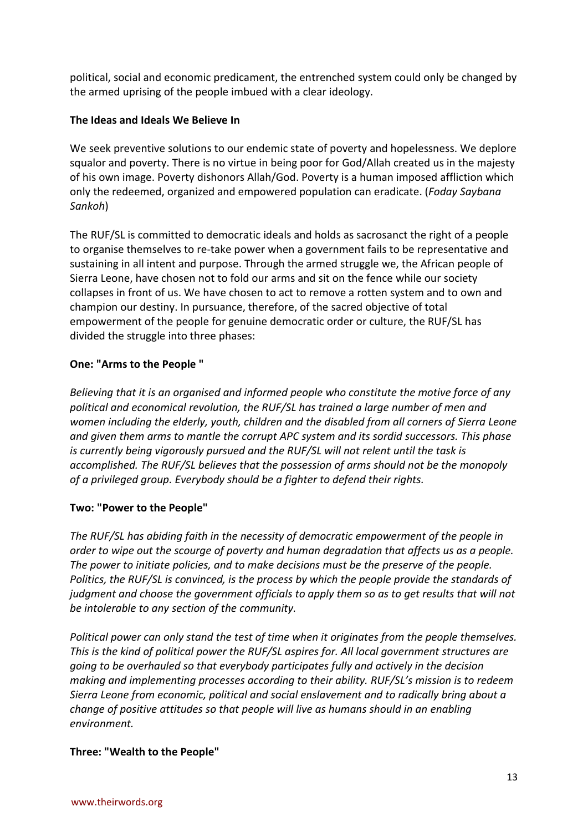political, social and economic predicament, the entrenched system could only be changed by the armed uprising of the people imbued with a clear ideology.

## **The Ideas and Ideals We Believe In**

We seek preventive solutions to our endemic state of poverty and hopelessness. We deplore squalor and poverty. There is no virtue in being poor for God/Allah created us in the majesty of his own image. Poverty dishonors Allah/God. Poverty is a human imposed affliction which only the redeemed, organized and empowered population can eradicate. (*Foday Saybana Sankoh*)

The RUF/SL is committed to democratic ideals and holds as sacrosanct the right of a people to organise themselves to re-take power when a government fails to be representative and sustaining in all intent and purpose. Through the armed struggle we, the African people of Sierra Leone, have chosen not to fold our arms and sit on the fence while our society collapses in front of us. We have chosen to act to remove a rotten system and to own and champion our destiny. In pursuance, therefore, of the sacred objective of total empowerment of the people for genuine democratic order or culture, the RUF/SL has divided the struggle into three phases:

## **One: "Arms to the People "**

*Believing that it is an organised and informed people who constitute the motive force of any political and economical revolution, the RUF/SL has trained a large number of men and women including the elderly, youth, children and the disabled from all corners of Sierra Leone and given them arms to mantle the corrupt APC system and its sordid successors. This phase is currently being vigorously pursued and the RUF/SL will not relent until the task is accomplished. The RUF/SL believes that the possession of arms should not be the monopoly of a privileged group. Everybody should be a fighter to defend their rights.*

## **Two: "Power to the People"**

*The RUF/SL has abiding faith in the necessity of democratic empowerment of the people in order to wipe out the scourge of poverty and human degradation that affects us as a people. The power to initiate policies, and to make decisions must be the preserve of the people. Politics, the RUF/SL is convinced, is the process by which the people provide the standards of judgment and choose the government officials to apply them so as to get results that will not be intolerable to any section of the community.* 

*Political power can only stand the test of time when it originates from the people themselves. This is the kind of political power the RUF/SL aspires for. All local government structures are going to be overhauled so that everybody participates fully and actively in the decision making and implementing processes according to their ability. RUF/SL's mission is to redeem Sierra Leone from economic, political and social enslavement and to radically bring about a change of positive attitudes so that people will live as humans should in an enabling environment.* 

## **Three: "Wealth to the People"**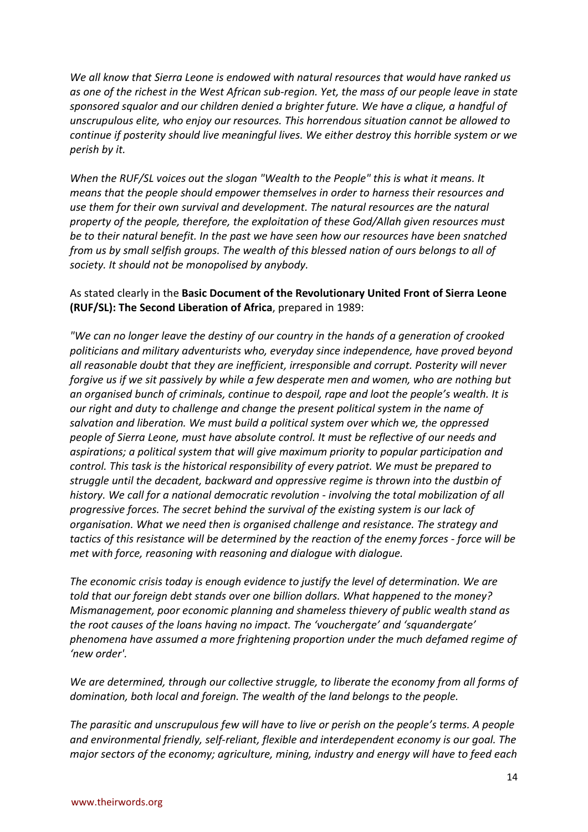*We all know that Sierra Leone is endowed with natural resources that would have ranked us as one of the richest in the West African sub-region. Yet, the mass of our people leave in state sponsored squalor and our children denied a brighter future. We have a clique, a handful of unscrupulous elite, who enjoy our resources. This horrendous situation cannot be allowed to continue if posterity should live meaningful lives. We either destroy this horrible system or we perish by it.*

*When the RUF/SL voices out the slogan "Wealth to the People" this is what it means. It means that the people should empower themselves in order to harness their resources and use them for their own survival and development. The natural resources are the natural property of the people, therefore, the exploitation of these God/Allah given resources must be to their natural benefit. In the past we have seen how our resources have been snatched from us by small selfish groups. The wealth of this blessed nation of ours belongs to all of society. It should not be monopolised by anybody.*

## As stated clearly in the **Basic Document of the Revolutionary United Front of Sierra Leone (RUF/SL): The Second Liberation of Africa**, prepared in 1989:

*"We can no longer leave the destiny of our country in the hands of a generation of crooked politicians and military adventurists who, everyday since independence, have proved beyond all reasonable doubt that they are inefficient, irresponsible and corrupt. Posterity will never forgive us if we sit passively by while a few desperate men and women, who are nothing but an organised bunch of criminals, continue to despoil, rape and loot the people's wealth. It is our right and duty to challenge and change the present political system in the name of salvation and liberation. We must build a political system over which we, the oppressed people of Sierra Leone, must have absolute control. It must be reflective of our needs and aspirations; a political system that will give maximum priority to popular participation and control. This task is the historical responsibility of every patriot. We must be prepared to struggle until the decadent, backward and oppressive regime is thrown into the dustbin of history. We call for a national democratic revolution - involving the total mobilization of all progressive forces. The secret behind the survival of the existing system is our lack of organisation. What we need then is organised challenge and resistance. The strategy and tactics of this resistance will be determined by the reaction of the enemy forces - force will be met with force, reasoning with reasoning and dialogue with dialogue.*

*The economic crisis today is enough evidence to justify the level of determination. We are told that our foreign debt stands over one billion dollars. What happened to the money? Mismanagement, poor economic planning and shameless thievery of public wealth stand as the root causes of the loans having no impact. The 'vouchergate' and 'squandergate' phenomena have assumed a more frightening proportion under the much defamed regime of 'new order'.*

*We are determined, through our collective struggle, to liberate the economy from all forms of domination, both local and foreign. The wealth of the land belongs to the people.* 

*The parasitic and unscrupulous few will have to live or perish on the people's terms. A people and environmental friendly, self-reliant, flexible and interdependent economy is our goal. The major sectors of the economy; agriculture, mining, industry and energy will have to feed each*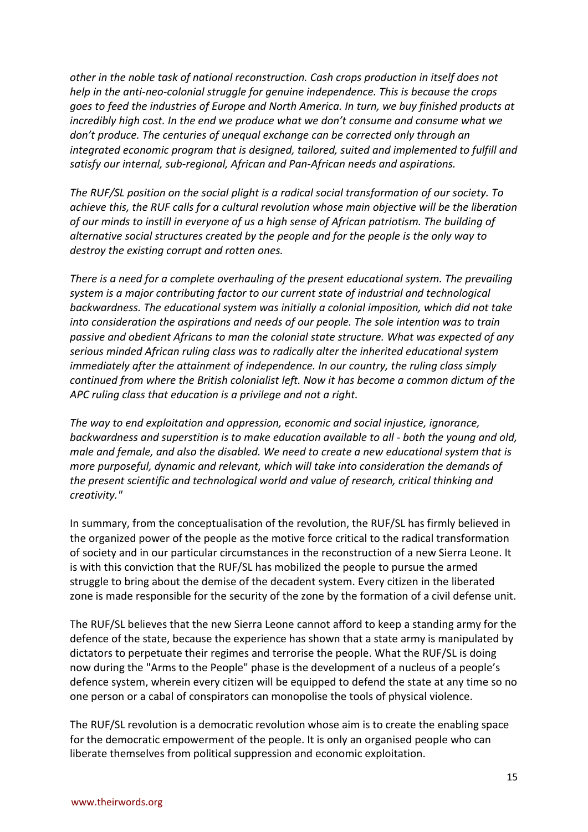*other in the noble task of national reconstruction. Cash crops production in itself does not help in the anti-neo-colonial struggle for genuine independence. This is because the crops goes to feed the industries of Europe and North America. In turn, we buy finished products at incredibly high cost. In the end we produce what we don't consume and consume what we don't produce. The centuries of unequal exchange can be corrected only through an integrated economic program that is designed, tailored, suited and implemented to fulfill and satisfy our internal, sub-regional, African and Pan-African needs and aspirations.* 

*The RUF/SL position on the social plight is a radical social transformation of our society. To achieve this, the RUF calls for a cultural revolution whose main objective will be the liberation of our minds to instill in everyone of us a high sense of African patriotism. The building of alternative social structures created by the people and for the people is the only way to destroy the existing corrupt and rotten ones.* 

*There is a need for a complete overhauling of the present educational system. The prevailing system is a major contributing factor to our current state of industrial and technological backwardness. The educational system was initially a colonial imposition, which did not take into consideration the aspirations and needs of our people. The sole intention was to train passive and obedient Africans to man the colonial state structure. What was expected of any serious minded African ruling class was to radically alter the inherited educational system immediately after the attainment of independence. In our country, the ruling class simply continued from where the British colonialist left. Now it has become a common dictum of the APC ruling class that education is a privilege and not a right.* 

*The way to end exploitation and oppression, economic and social injustice, ignorance, backwardness and superstition is to make education available to all - both the young and old, male and female, and also the disabled. We need to create a new educational system that is more purposeful, dynamic and relevant, which will take into consideration the demands of the present scientific and technological world and value of research, critical thinking and creativity."*

In summary, from the conceptualisation of the revolution, the RUF/SL has firmly believed in the organized power of the people as the motive force critical to the radical transformation of society and in our particular circumstances in the reconstruction of a new Sierra Leone. It is with this conviction that the RUF/SL has mobilized the people to pursue the armed struggle to bring about the demise of the decadent system. Every citizen in the liberated zone is made responsible for the security of the zone by the formation of a civil defense unit.

The RUF/SL believes that the new Sierra Leone cannot afford to keep a standing army for the defence of the state, because the experience has shown that a state army is manipulated by dictators to perpetuate their regimes and terrorise the people. What the RUF/SL is doing now during the "Arms to the People" phase is the development of a nucleus of a people's defence system, wherein every citizen will be equipped to defend the state at any time so no one person or a cabal of conspirators can monopolise the tools of physical violence.

The RUF/SL revolution is a democratic revolution whose aim is to create the enabling space for the democratic empowerment of the people. It is only an organised people who can liberate themselves from political suppression and economic exploitation.